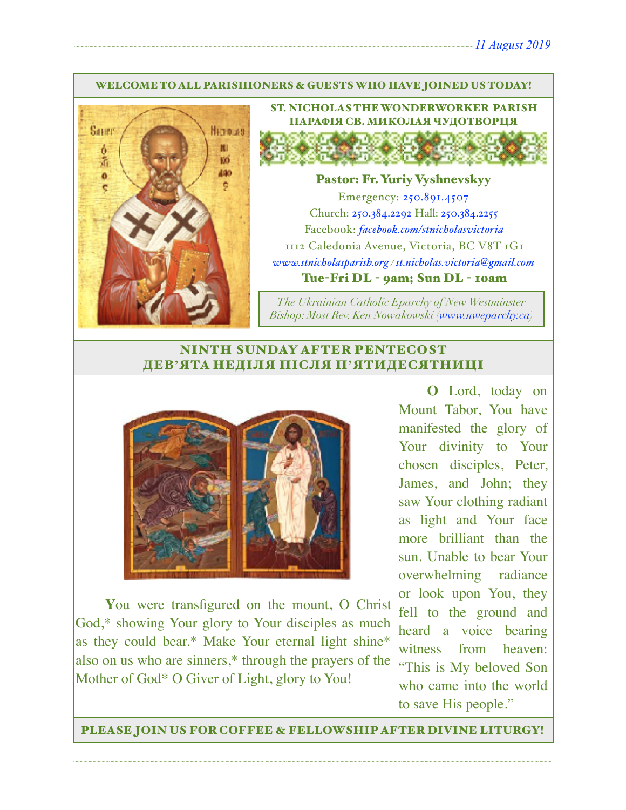#### WELCOME TO ALL PARISHIONERS & GUESTS WHO HAVE JOINED US TODAY!



ST. NICHOLAS THE WONDERWORKER PARISH ПАРАФІЯ СВ. МИКОЛАЯ ЧУДОТВОРЦЯ

#### Pastor: Fr. Yuriy Vyshnevskyy

Emergency: 250.891.4507 Church: 250.384.2292 Hall: 250.384.2255 Facebook: *[facebook.com/stnicholasvictoria](http://facebook.com/stnicholasvictoria)* 1112 Caledonia Avenue, Victoria, BC V8T 1G1 *[www.stnicholasparish.org](http://www.stnicholasparish.org) / [st.nicholas.victoria@gmail.com](mailto:st.nicholas.victoria@gmail.com)* Tue-Fri DL - 9am; Sun DL - 10am

*The Ukrainian Catholic Eparchy of New Westminster Bishop: Most Rev. Ken Nowakowski ([www.nweparchy.ca](http://www.nweparchy.ca))*

### NINTH SUNDAY AFTER PENTECOST ДЕВ**'**ЯТА НЕДІЛЯ ПІСЛЯ П**'**ЯТИДЕСЯТНИЦІ



**Y**ou were transfigured on the mount, O Christ God,\* showing Your glory to Your disciples as much as they could bear.\* Make Your eternal light shine\* also on us who are sinners,\* through the prayers of the Mother of God\* O Giver of Light, glory to You!

**O** Lord, today on Mount Tabor, You have manifested the glory of Your divinity to Your chosen disciples, Peter, James, and John; they saw Your clothing radiant as light and Your face more brilliant than the sun. Unable to bear Your overwhelming radiance or look upon You, they fell to the ground and heard a voice bearing witness from heaven: "This is My beloved Son who came into the world to save His people."

PLEASE JOIN US FOR COFFEE & FELLOWSHIP AFTER DIVINE LITURGY!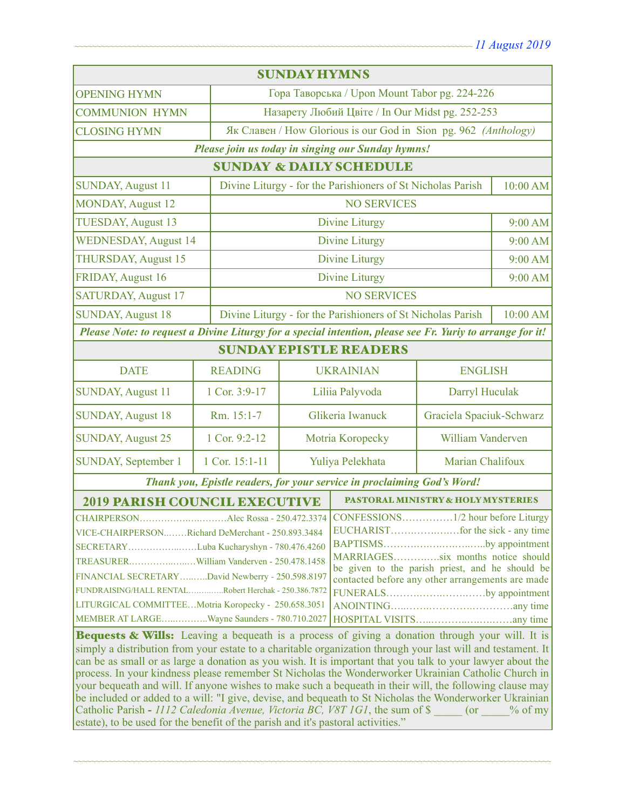| <b>SUNDAY HYMNS</b>                                                                                                                                                                                                                                                                                                                                                                                                                                                                                                                                                                                                                                                                                                                                                          |                                                                 |                                                             |                                               |                          |          |
|------------------------------------------------------------------------------------------------------------------------------------------------------------------------------------------------------------------------------------------------------------------------------------------------------------------------------------------------------------------------------------------------------------------------------------------------------------------------------------------------------------------------------------------------------------------------------------------------------------------------------------------------------------------------------------------------------------------------------------------------------------------------------|-----------------------------------------------------------------|-------------------------------------------------------------|-----------------------------------------------|--------------------------|----------|
| <b>OPENING HYMN</b>                                                                                                                                                                                                                                                                                                                                                                                                                                                                                                                                                                                                                                                                                                                                                          |                                                                 | Гора Таворська / Upon Mount Tabor pg. 224-226               |                                               |                          |          |
| <b>COMMUNION HYMN</b>                                                                                                                                                                                                                                                                                                                                                                                                                                                                                                                                                                                                                                                                                                                                                        | Назарету Любий Цвіте / In Our Midst pg. 252-253                 |                                                             |                                               |                          |          |
| <b>CLOSING HYMN</b>                                                                                                                                                                                                                                                                                                                                                                                                                                                                                                                                                                                                                                                                                                                                                          | Як Славен / How Glorious is our God in Sion pg. 962 (Anthology) |                                                             |                                               |                          |          |
| Please join us today in singing our Sunday hymns!                                                                                                                                                                                                                                                                                                                                                                                                                                                                                                                                                                                                                                                                                                                            |                                                                 |                                                             |                                               |                          |          |
| <b>SUNDAY &amp; DAILY SCHEDULE</b>                                                                                                                                                                                                                                                                                                                                                                                                                                                                                                                                                                                                                                                                                                                                           |                                                                 |                                                             |                                               |                          |          |
| <b>SUNDAY, August 11</b><br>Divine Liturgy - for the Parishioners of St Nicholas Parish                                                                                                                                                                                                                                                                                                                                                                                                                                                                                                                                                                                                                                                                                      |                                                                 |                                                             |                                               | 10:00 AM                 |          |
| <b>MONDAY, August 12</b>                                                                                                                                                                                                                                                                                                                                                                                                                                                                                                                                                                                                                                                                                                                                                     |                                                                 |                                                             | <b>NO SERVICES</b>                            |                          |          |
| <b>TUESDAY, August 13</b>                                                                                                                                                                                                                                                                                                                                                                                                                                                                                                                                                                                                                                                                                                                                                    |                                                                 | <b>Divine Liturgy</b>                                       |                                               |                          |          |
| <b>WEDNESDAY, August 14</b>                                                                                                                                                                                                                                                                                                                                                                                                                                                                                                                                                                                                                                                                                                                                                  |                                                                 | Divine Liturgy                                              |                                               |                          | 9:00 AM  |
| THURSDAY, August 15                                                                                                                                                                                                                                                                                                                                                                                                                                                                                                                                                                                                                                                                                                                                                          |                                                                 | <b>Divine Liturgy</b>                                       |                                               |                          | 9:00 AM  |
| FRIDAY, August 16                                                                                                                                                                                                                                                                                                                                                                                                                                                                                                                                                                                                                                                                                                                                                            |                                                                 | <b>Divine Liturgy</b>                                       |                                               | 9:00 AM                  |          |
| <b>SATURDAY, August 17</b>                                                                                                                                                                                                                                                                                                                                                                                                                                                                                                                                                                                                                                                                                                                                                   |                                                                 | <b>NO SERVICES</b>                                          |                                               |                          |          |
| <b>SUNDAY, August 18</b>                                                                                                                                                                                                                                                                                                                                                                                                                                                                                                                                                                                                                                                                                                                                                     |                                                                 | Divine Liturgy - for the Parishioners of St Nicholas Parish |                                               |                          | 10:00 AM |
| Please Note: to request a Divine Liturgy for a special intention, please see Fr. Yuriy to arrange for it!                                                                                                                                                                                                                                                                                                                                                                                                                                                                                                                                                                                                                                                                    |                                                                 |                                                             |                                               |                          |          |
| <b>SUNDAY EPISTLE READERS</b>                                                                                                                                                                                                                                                                                                                                                                                                                                                                                                                                                                                                                                                                                                                                                |                                                                 |                                                             |                                               |                          |          |
| <b>DATE</b>                                                                                                                                                                                                                                                                                                                                                                                                                                                                                                                                                                                                                                                                                                                                                                  | <b>READING</b>                                                  | <b>UKRAINIAN</b>                                            |                                               | <b>ENGLISH</b>           |          |
| <b>SUNDAY, August 11</b>                                                                                                                                                                                                                                                                                                                                                                                                                                                                                                                                                                                                                                                                                                                                                     | 1 Cor. 3:9-17                                                   | Liliia Palyvoda                                             |                                               | Darryl Huculak           |          |
| <b>SUNDAY, August 18</b>                                                                                                                                                                                                                                                                                                                                                                                                                                                                                                                                                                                                                                                                                                                                                     | Rm. 15:1-7                                                      | Glikeria Iwanuck                                            |                                               | Graciela Spaciuk-Schwarz |          |
| <b>SUNDAY, August 25</b>                                                                                                                                                                                                                                                                                                                                                                                                                                                                                                                                                                                                                                                                                                                                                     | 1 Cor. 9:2-12                                                   | Motria Koropecky                                            |                                               | William Vanderven        |          |
| <b>SUNDAY, September 1</b>                                                                                                                                                                                                                                                                                                                                                                                                                                                                                                                                                                                                                                                                                                                                                   | 1 Cor. 15:1-11                                                  | Yuliya Pelekhata                                            |                                               | Marian Chalifoux         |          |
| Thank you, Epistle readers, for your service in proclaiming God's Word!                                                                                                                                                                                                                                                                                                                                                                                                                                                                                                                                                                                                                                                                                                      |                                                                 |                                                             |                                               |                          |          |
| <b>2019 PARISH COUNCIL EXECUTIVE</b>                                                                                                                                                                                                                                                                                                                                                                                                                                                                                                                                                                                                                                                                                                                                         |                                                                 |                                                             | <b>PASTORAL MINISTRY &amp; HOLY MYSTERIES</b> |                          |          |
| CHAIRPERSONAlec Rossa - 250.472.3374<br>VICE-CHAIRPERSONRichard DeMerchant - 250.893.3484<br>BAPTISMSby appointment<br>SECRETARYLuba Kucharyshyn - 780.476.4260<br>MARRIAGESsix months notice should<br>be given to the parish priest, and he should be<br>FINANCIAL SECRETARY David Newberry - 250.598.8197<br>contacted before any other arrangements are made<br>FUNDRAISING/HALL RENTALRobert Herchak - 250.386.7872<br>FUNERALSby appointment<br>LITURGICAL COMMITTEEMotria Koropecky - 250.658.3051<br>MEMBER AT LARGEWayne Saunders - 780.710.2027<br>Bequests & Wills: Leaving a bequeath is a process of giving a donation through your will. It is<br>simply a distribution from your estate to a charitable organization through your last will and testament. It |                                                                 |                                                             |                                               |                          |          |
| can be as small or as large a donation as you wish. It is important that you talk to your lawyer about the<br>process. In your kindness please remember St Nicholas the Wonderworker Ukrainian Catholic Church in<br>your bequeath and will. If anyone wishes to make such a bequeath in their will, the following clause may<br>be included or added to a will: "I give, devise, and bequeath to St Nicholas the Wonderworker Ukrainian<br>Catholic Parish - 1112 Caledonia Avenue, Victoria BC, V8T 1G1, the sum of \$<br>$($ or<br>$\%$ of my<br>estate), to be used for the benefit of the parish and it's pastoral activities."                                                                                                                                         |                                                                 |                                                             |                                               |                          |          |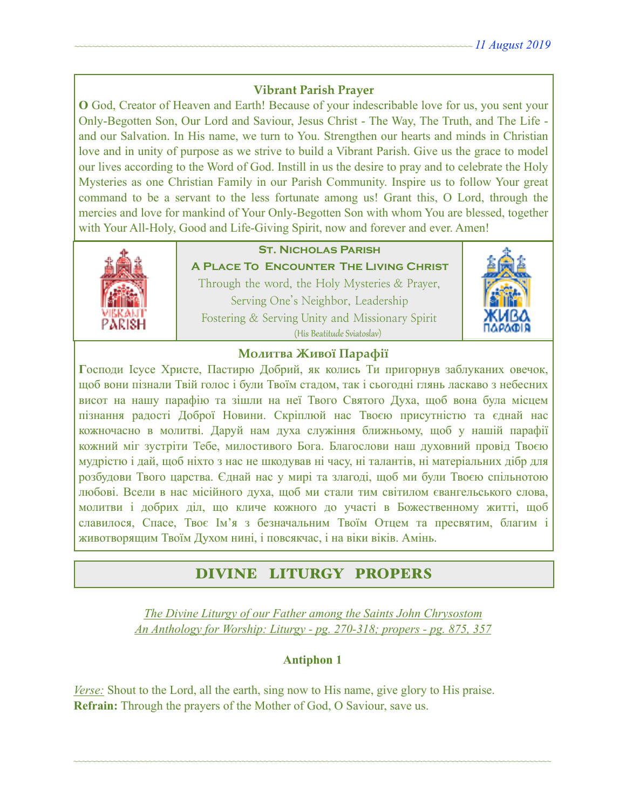### **Vibrant Parish Prayer**

**O** God, Creator of Heaven and Earth! Because of your indescribable love for us, you sent your Only-Begotten Son, Our Lord and Saviour, Jesus Christ - The Way, The Truth, and The Life and our Salvation. In His name, we turn to You. Strengthen our hearts and minds in Christian love and in unity of purpose as we strive to build a Vibrant Parish. Give us the grace to model our lives according to the Word of God. Instill in us the desire to pray and to celebrate the Holy Mysteries as one Christian Family in our Parish Community. Inspire us to follow Your great command to be a servant to the less fortunate among us! Grant this, O Lord, through the mercies and love for mankind of Your Only-Begotten Son with whom You are blessed, together with Your All-Holy, Good and Life-Giving Spirit, now and forever and ever. Amen!



## **St. Nicholas Parish**

**A Place To Encounter The Living Christ** Through the word, the Holy Mysteries & Prayer, Serving One's Neighbor, Leadership Fostering & Serving Unity and Missionary Spirit (His Beatitude Sviatoslav)



### **Молитва Живої Парафії**

**Г**осподи Ісусе Христе, Пастирю Добрий, як колись Ти пригорнув заблуканих овечок, щоб вони пізнали Твій голос і були Твоїм стадом, так і сьогодні глянь ласкаво з небесних висот на нашу парафію та зішли на неї Твого Святого Духа, щоб вона була місцем пізнання радості Доброї Новини. Скріплюй нас Твоєю присутністю та єднай нас кожночасно в молитві. Даруй нам духа служіння ближньому, щоб у нашій парафії кожний міг зустріти Тебе, милостивого Бога. Благослови наш духовний провід Твоєю мудрістю і дай, щоб ніхто з нас не шкодував ні часу, ні талантів, ні матеріальних дібр для розбудови Твого царства. Єднай нас у мирі та злагоді, щоб ми були Твоєю спільнотою любові. Всели в нас місійного духа, щоб ми стали тим світилом євангельського слова, молитви і добрих діл, що кличе кожного до участі в Божественному житті, щоб славилося, Спасе, Твоє Ім'я з безначальним Твоїм Отцем та пресвятим, благим і животворящим Твоїм Духом нині, і повсякчас, і на віки віків. Амінь.

# DIVINE LITURGY PROPERS

*The Divine Liturgy of our Father among the Saints John Chrysostom An Anthology for Worship: Liturgy - pg. 270-318; propers - pg. 875, 357* 

#### **Antiphon 1**

~~~~~~~~~~~~~~~~~~~~~~~~~~~~~~~~~~~~~~~~~~~~~~~~~~~~~~~~~~~~~~~~~~~~~~~~~~~~~~~~~~~~~~~~~~~~~~~~~~~~~~~~~~~~

*Verse:* Shout to the Lord, all the earth, sing now to His name, give glory to His praise. **Refrain:** Through the prayers of the Mother of God, O Saviour, save us.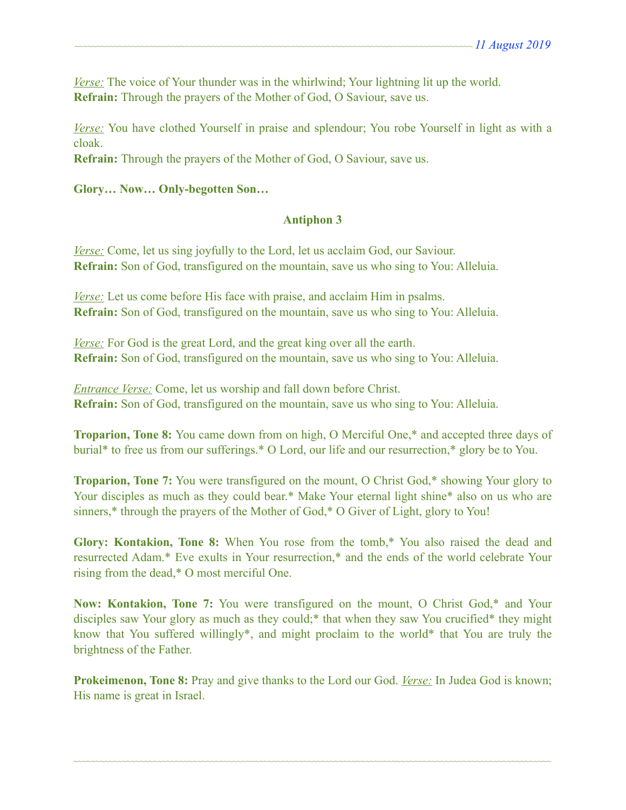*Verse:* The voice of Your thunder was in the whirlwind; Your lightning lit up the world. **Refrain:** Through the prayers of the Mother of God, O Saviour, save us.

*Verse:* You have clothed Yourself in praise and splendour; You robe Yourself in light as with a cloak.

**Refrain:** Through the prayers of the Mother of God, O Saviour, save us.

#### **Glory… Now… Only-begotten Son…**

#### **Antiphon 3**

*Verse:* Come, let us sing joyfully to the Lord, let us acclaim God, our Saviour. **Refrain:** Son of God, transfigured on the mountain, save us who sing to You: Alleluia.

*Verse:* Let us come before His face with praise, and acclaim Him in psalms. **Refrain:** Son of God, transfigured on the mountain, save us who sing to You: Alleluia.

*Verse:* For God is the great Lord, and the great king over all the earth. **Refrain:** Son of God, transfigured on the mountain, save us who sing to You: Alleluia.

*Entrance Verse:* Come, let us worship and fall down before Christ. **Refrain:** Son of God, transfigured on the mountain, save us who sing to You: Alleluia.

**Troparion, Tone 8:** You came down from on high, O Merciful One,\* and accepted three days of burial\* to free us from our sufferings.\* O Lord, our life and our resurrection,\* glory be to You.

**Troparion, Tone 7:** You were transfigured on the mount, O Christ God,\* showing Your glory to Your disciples as much as they could bear.\* Make Your eternal light shine\* also on us who are sinners,\* through the prayers of the Mother of God,\* O Giver of Light, glory to You!

**Glory: Kontakion, Tone 8:** When You rose from the tomb,\* You also raised the dead and resurrected Adam.\* Eve exults in Your resurrection,\* and the ends of the world celebrate Your rising from the dead,\* O most merciful One.

**Now: Kontakion, Tone 7:** You were transfigured on the mount, O Christ God,\* and Your disciples saw Your glory as much as they could;<sup>\*</sup> that when they saw You crucified\* they might know that You suffered willingly\*, and might proclaim to the world\* that You are truly the brightness of the Father.

**Prokeimenon, Tone 8:** Pray and give thanks to the Lord our God. *Verse:* In Judea God is known; His name is great in Israel.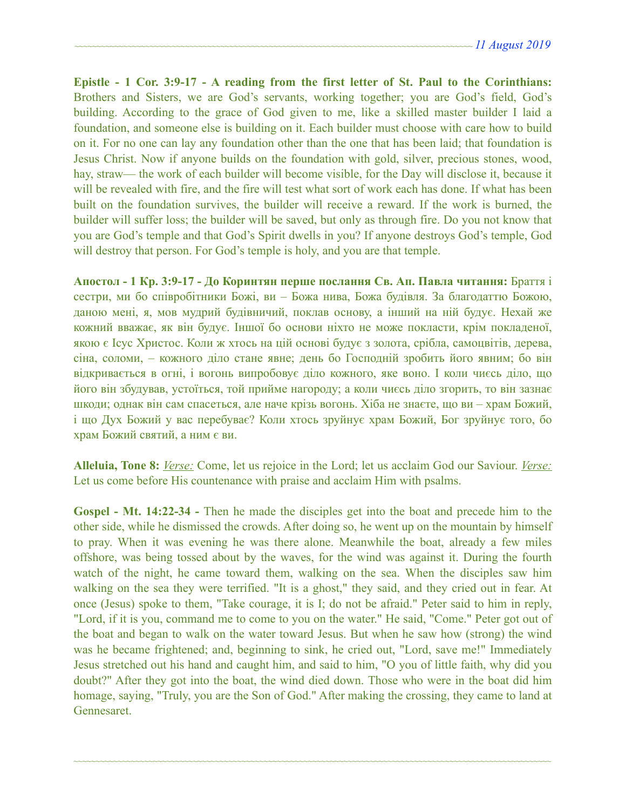**Epistle - 1 Cor. 3:9-17 - A reading from the first letter of St. Paul to the Corinthians:**  Brothers and Sisters, we are God's servants, working together; you are God's field, God's building. According to the grace of God given to me, like a skilled master builder I laid a foundation, and someone else is building on it. Each builder must choose with care how to build on it. For no one can lay any foundation other than the one that has been laid; that foundation is Jesus Christ. Now if anyone builds on the foundation with gold, silver, precious stones, wood, hay, straw— the work of each builder will become visible, for the Day will disclose it, because it will be revealed with fire, and the fire will test what sort of work each has done. If what has been built on the foundation survives, the builder will receive a reward. If the work is burned, the builder will suffer loss; the builder will be saved, but only as through fire. Do you not know that you are God's temple and that God's Spirit dwells in you? If anyone destroys God's temple, God will destroy that person. For God's temple is holy, and you are that temple.

**Апостол - 1 Кр. 3:9-17 - До Коринтян перше послання Св. Ап. Павла читання:** Браття і сестри, ми бо співробітники Божі, ви – Божа нива, Божа будівля. За благодаттю Божою, даною мені, я, мов мудрий будівничий, поклав основу, а інший на ній будує. Нехай же кожний вважає, як він будує. Іншої бо основи ніхто не може покласти, крім покладеної, якою є Ісус Христос. Коли ж хтось на цій основі будує з золота, срібла, самоцвітів, дерева, сіна, соломи, – кожного діло стане явне; день бо Господній зробить його явним; бо він відкривається в огні, і вогонь випробовує діло кожного, яке воно. І коли чиєсь діло, що його він збудував, устоїться, той прийме нагороду; а коли чиєсь діло згорить, то він зазнає шкоди; однак він сам спасеться, але наче крізь вогонь. Хіба не знаєте, що ви – храм Божий, і що Дух Божий у вас перебуває? Коли хтось зруйнує храм Божий, Бог зруйнує того, бо храм Божий святий, а ним є ви.

**Alleluia, Tone 8:** *Verse:* Come, let us rejoice in the Lord; let us acclaim God our Saviour. *Verse:* Let us come before His countenance with praise and acclaim Him with psalms.

Gospel - Mt. 14:22-34 - Then he made the disciples get into the boat and precede him to the other side, while he dismissed the crowds. After doing so, he went up on the mountain by himself to pray. When it was evening he was there alone. Meanwhile the boat, already a few miles offshore, was being tossed about by the waves, for the wind was against it. During the fourth watch of the night, he came toward them, walking on the sea. When the disciples saw him walking on the sea they were terrified. "It is a ghost," they said, and they cried out in fear. At once (Jesus) spoke to them, "Take courage, it is I; do not be afraid." Peter said to him in reply, "Lord, if it is you, command me to come to you on the water." He said, "Come." Peter got out of the boat and began to walk on the water toward Jesus. But when he saw how (strong) the wind was he became frightened; and, beginning to sink, he cried out, "Lord, save me!" Immediately Jesus stretched out his hand and caught him, and said to him, "O you of little faith, why did you doubt?" After they got into the boat, the wind died down. Those who were in the boat did him homage, saying, "Truly, you are the Son of God." After making the crossing, they came to land at Gennesaret.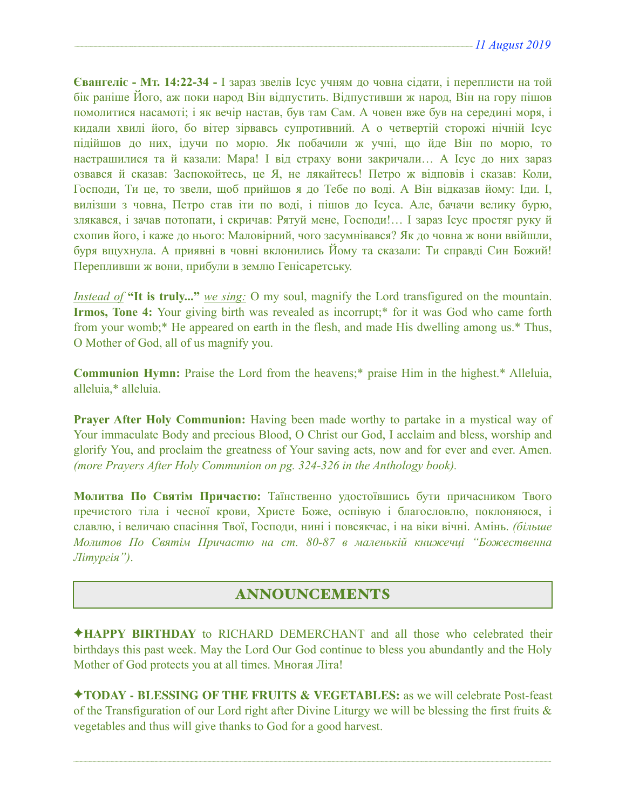**Євангеліє - Мт. 14:22-34 -** І зараз звелів Ісус учням до човна сідати, і переплисти на той бік раніше Його, аж поки народ Він відпустить. Відпустивши ж народ, Він на гору пішов помолитися насамоті; і як вечір настав, був там Сам. А човен вже був на середині моря, і кидали хвилі його, бо вітер зірвавсь супротивний. А о четвертій сторожі нічній Ісус підійшов до них, ідучи по морю. Як побачили ж учні, що йде Він по морю, то настрашилися та й казали: Мара! І від страху вони закричали… А Ісус до них зараз озвався й сказав: Заспокойтесь, це Я, не лякайтесь! Петро ж відповів і сказав: Коли, Господи, Ти це, то звели, щоб прийшов я до Тебе по воді. А Він відказав йому: Іди. І, вилізши з човна, Петро став іти по воді, і пішов до Ісуса. Але, бачачи велику бурю, злякався, і зачав потопати, і скричав: Рятуй мене, Господи!… І зараз Ісус простяг руку й схопив його, і каже до нього: Маловірний, чого засумнівався? Як до човна ж вони ввійшли, буря вщухнула. А приявні в човні вклонились Йому та сказали: Ти справді Син Божий! Перепливши ж вони, прибули в землю Генісаретську.

*Instead of* **"It is truly..."** *we sing:* O my soul, magnify the Lord transfigured on the mountain. **Irmos, Tone 4:** Your giving birth was revealed as incorrupt;\* for it was God who came forth from your womb;\* He appeared on earth in the flesh, and made His dwelling among us.\* Thus, O Mother of God, all of us magnify you.

**Communion Hymn:** Praise the Lord from the heavens;\* praise Him in the highest.\* Alleluia, alleluia,\* alleluia.

**Prayer After Holy Communion:** Having been made worthy to partake in a mystical way of Your immaculate Body and precious Blood, O Christ our God, I acclaim and bless, worship and glorify You, and proclaim the greatness of Your saving acts, now and for ever and ever. Amen. *(more Prayers After Holy Communion on pg. 324-326 in the Anthology book).* 

**Молитва По Святім Причастю:** Таїнственно удостоївшись бути причасником Твого пречистого тіла і чесної крови, Христе Боже, оспівую і благословлю, поклоняюся, і славлю, і величаю спасіння Твої, Господи, нині і повсякчас, і на віки вічні. Амінь. *(більше Молитов По Святім Причастю на ст. 80-87 в маленькій книжечці "Божественна Літургія")*.

## ANNOUNCEMENTS

✦**HAPPY BIRTHDAY** to RICHARD DEMERCHANT and all those who celebrated their birthdays this past week. May the Lord Our God continue to bless you abundantly and the Holy Mother of God protects you at all times. Многая Літа!

✦**TODAY - BLESSING OF THE FRUITS & VEGETABLES:** as we will celebrate Post-feast of the Transfiguration of our Lord right after Divine Liturgy we will be blessing the first fruits & vegetables and thus will give thanks to God for a good harvest.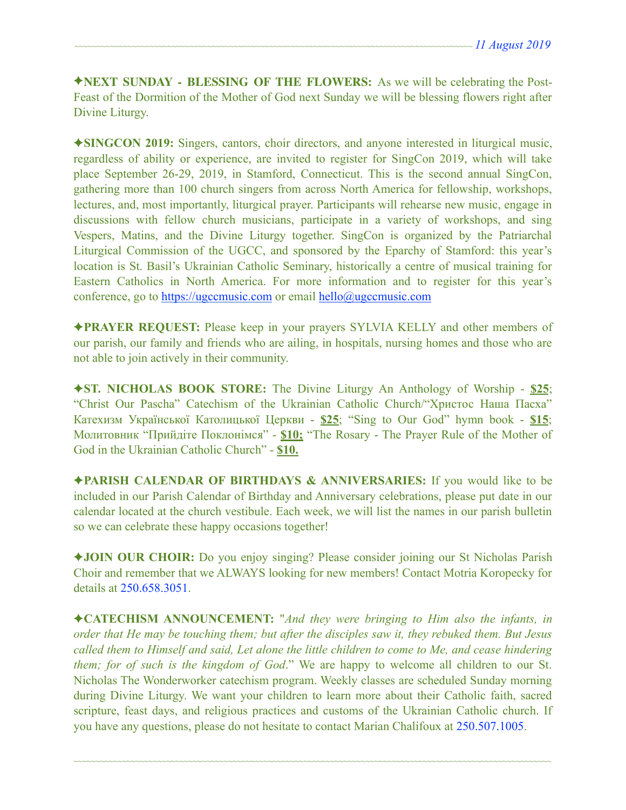✦**NEXT SUNDAY - BLESSING OF THE FLOWERS:** As we will be celebrating the Post-Feast of the Dormition of the Mother of God next Sunday we will be blessing flowers right after Divine Liturgy.

✦**SINGCON 2019:** Singers, cantors, choir directors, and anyone interested in liturgical music, regardless of ability or experience, are invited to register for SingCon 2019, which will take place September 26-29, 2019, in Stamford, Connecticut. This is the second annual SingCon, gathering more than 100 church singers from across North America for fellowship, workshops, lectures, and, most importantly, liturgical prayer. Participants will rehearse new music, engage in discussions with fellow church musicians, participate in a variety of workshops, and sing Vespers, Matins, and the Divine Liturgy together. SingCon is organized by the Patriarchal Liturgical Commission of the UGCC, and sponsored by the Eparchy of Stamford: this year's location is St. Basil's Ukrainian Catholic Seminary, historically a centre of musical training for Eastern Catholics in North America. For more information and to register for this year's conference, go to [https://ugccmusic.com](https://ugccmusic.com/) or email [hello@ugccmusic.com](mailto:hello@ugccmusic.com)

✦**PRAYER REQUEST:** Please keep in your prayers SYLVIA KELLY and other members of our parish, our family and friends who are ailing, in hospitals, nursing homes and those who are not able to join actively in their community.

✦**ST. NICHOLAS BOOK STORE:** The Divine Liturgy An Anthology of Worship - **\$25**; "Christ Our Pascha" Catechism of the Ukrainian Catholic Church/"Христос Наша Пасха" Катехизм Української Католицької Церкви - **\$25**; "Sing to Our God" hymn book - **\$15**; Молитовник "Прийдіте Поклонімся" - **\$10;** "The Rosary - The Prayer Rule of the Mother of God in the Ukrainian Catholic Church" - **\$10.** 

✦**PARISH CALENDAR OF BIRTHDAYS & ANNIVERSARIES:** If you would like to be included in our Parish Calendar of Birthday and Anniversary celebrations, please put date in our calendar located at the church vestibule. Each week, we will list the names in our parish bulletin so we can celebrate these happy occasions together!

✦**JOIN OUR CHOIR:** Do you enjoy singing? Please consider joining our St Nicholas Parish Choir and remember that we ALWAYS looking for new members! Contact Motria Koropecky for details at 250.658.3051.

✦**CATECHISM ANNOUNCEMENT:** "*And they were bringing to Him also the infants, in order that He may be touching them; but after the disciples saw it, they rebuked them. But Jesus called them to Himself and said, Let alone the little children to come to Me, and cease hindering them; for of such is the kingdom of God*." We are happy to welcome all children to our St. Nicholas The Wonderworker catechism program. Weekly classes are scheduled Sunday morning during Divine Liturgy. We want your children to learn more about their Catholic faith, sacred scripture, feast days, and religious practices and customs of the Ukrainian Catholic church. If you have any questions, please do not hesitate to contact Marian Chalifoux at 250.507.1005.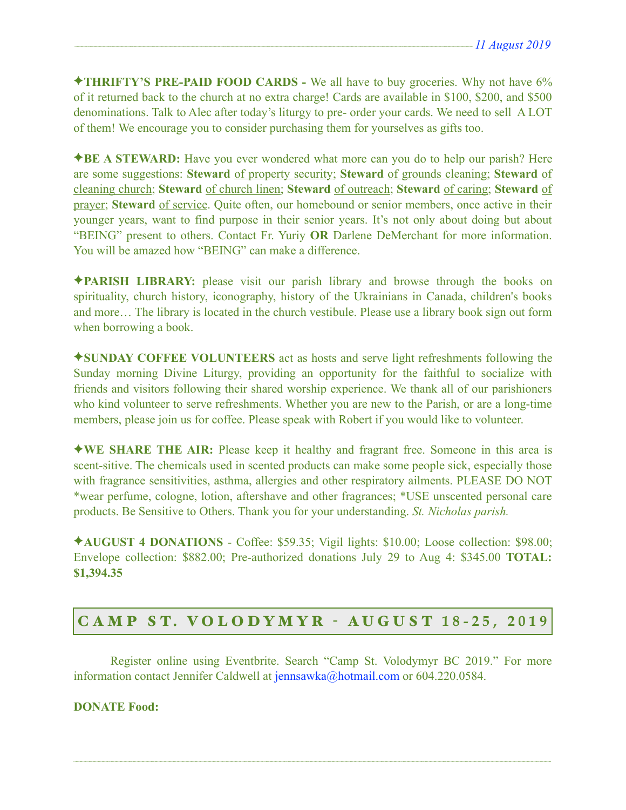✦**THRIFTY'S PRE-PAID FOOD CARDS -** We all have to buy groceries. Why not have 6% of it returned back to the church at no extra charge! Cards are available in \$100, \$200, and \$500 denominations. Talk to Alec after today's liturgy to pre- order your cards. We need to sell A LOT of them! We encourage you to consider purchasing them for yourselves as gifts too.

✦**BE A STEWARD:** Have you ever wondered what more can you do to help our parish? Here are some suggestions: **Steward** of property security; **Steward** of grounds cleaning; **Steward** of cleaning church; **Steward** of church linen; **Steward** of outreach; **Steward** of caring; **Steward** of prayer; **Steward** of service. Quite often, our homebound or senior members, once active in their younger years, want to find purpose in their senior years. It's not only about doing but about "BEING" present to others. Contact Fr. Yuriy **OR** Darlene DeMerchant for more information. You will be amazed how "BEING" can make a difference.

✦**PARISH LIBRARY:** please visit our parish library and browse through the books on spirituality, church history, iconography, history of the Ukrainians in Canada, children's books and more… The library is located in the church vestibule. Please use a library book sign out form when borrowing a book.

✦**SUNDAY COFFEE VOLUNTEERS** act as hosts and serve light refreshments following the Sunday morning Divine Liturgy, providing an opportunity for the faithful to socialize with friends and visitors following their shared worship experience. We thank all of our parishioners who kind volunteer to serve refreshments. Whether you are new to the Parish, or are a long-time members, please join us for coffee. Please speak with Robert if you would like to volunteer.

✦**WE SHARE THE AIR:** Please keep it healthy and fragrant free. Someone in this area is scent-sitive. The chemicals used in scented products can make some people sick, especially those with fragrance sensitivities, asthma, allergies and other respiratory ailments. PLEASE DO NOT \*wear perfume, cologne, lotion, aftershave and other fragrances; \*USE unscented personal care products. Be Sensitive to Others. Thank you for your understanding. *St. Nicholas parish.* 

✦**AUGUST 4 DONATIONS** - Coffee: \$59.35; Vigil lights: \$10.00; Loose collection: \$98.00; Envelope collection: \$882.00; Pre-authorized donations July 29 to Aug 4: \$345.00 **TOTAL: \$1,394.35**

# C A M P S T. V O L O D Y M Y R - AUGUST **18-25, 2019**

 Register online using Eventbrite. Search "Camp St. Volodymyr BC 2019." For more information contact Jennifer Caldwell at [jennsawka@hotmail.com](mailto:jennsawka@hotmail.com) or 604.220.0584.

~~~~~~~~~~~~~~~~~~~~~~~~~~~~~~~~~~~~~~~~~~~~~~~~~~~~~~~~~~~~~~~~~~~~~~~~~~~~~~~~~~~~~~~~~~~~~~~~~~~~~~~~~~~~

**DONATE Food:**